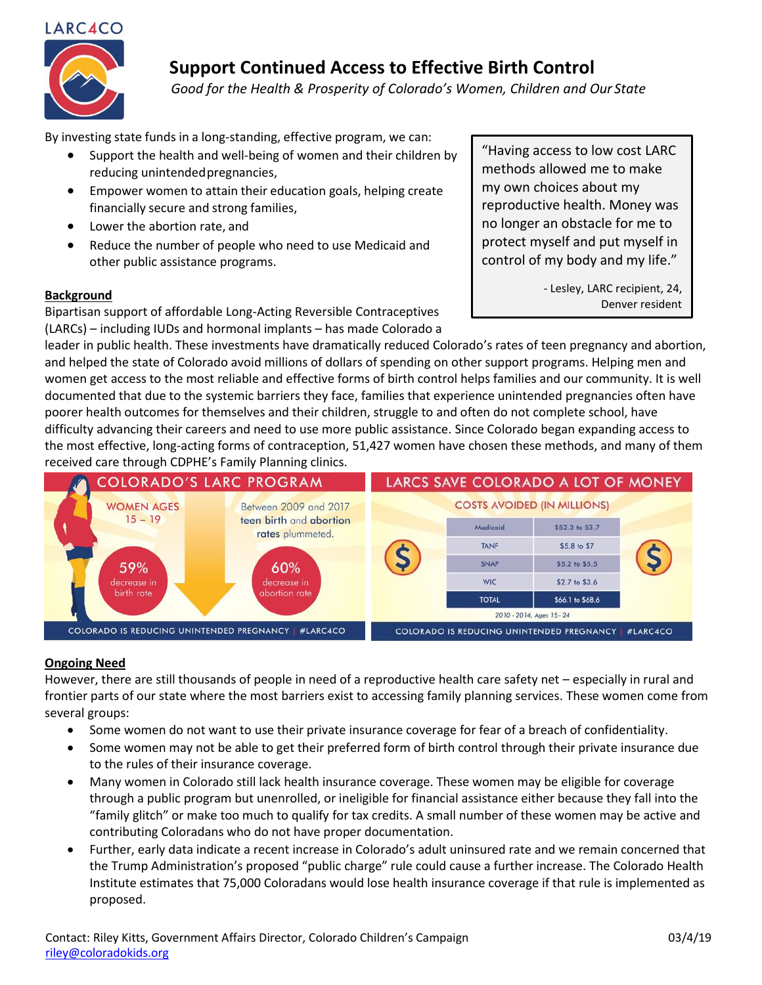

# **Support Continued Access to Effective Birth Control**

 *Good for the Health & Prosperity of Colorado's Women, Children and Our State*

By investing state funds in a long-standing, effective program, we can:

- Support the health and well-being of women and their children by reducing unintendedpregnancies,
- Empower women to attain their education goals, helping create financially secure and strong families,
- Lower the abortion rate, and
- Reduce the number of people who need to use Medicaid and other public assistance programs.

#### **Background**

Bipartisan support of affordable Long-Acting Reversible Contraceptives (LARCs) – including IUDs and hormonal implants – has made Colorado a "Having access to low cost LARC methods allowed me to make my own choices about my reproductive health. Money was no longer an obstacle for me to protect myself and put myself in control of my body and my life."

> *-* Lesley, LARC recipient, 24, Denver resident

leader in public health. These investments have dramatically reduced Colorado's rates of teen pregnancy and abortion, and helped the state of Colorado avoid millions of dollars of spending on other support programs. Helping men and women get access to the most reliable and effective forms of birth control helps families and our community. It is well documented that due to the systemic barriers they face, families that experience unintended pregnancies often have poorer health outcomes for themselves and their children, struggle to and often do not complete school, have difficulty advancing their careers and need to use more public assistance. Since Colorado began expanding access to the most effective, long-acting forms of contraception, 51,427 women have chosen these methods, and many of them received care through CDPHE's Family Planning clinics.



### **Ongoing Need**

However, there are still thousands of people in need of a reproductive health care safety net – especially in rural and frontier parts of our state where the most barriers exist to accessing family planning services. These women come from several groups:

- Some women do not want to use their private insurance coverage for fear of a breach of confidentiality.
- Some women may not be able to get their preferred form of birth control through their private insurance due to the rules of their insurance coverage.
- Many women in Colorado still lack health insurance coverage. These women may be eligible for coverage through a public program but unenrolled, or ineligible for financial assistance either because they fall into the "family glitch" or make too much to qualify for tax credits. A small number of these women may be active and contributing Coloradans who do not have proper documentation.
- Further, early data indicate a recent increase in Colorado's adult uninsured rate and we remain concerned that the Trump Administration's proposed "public charge" rule could cause a further increase. The Colorado Health Institute estimates that 75,000 Coloradans would lose health insurance coverage if that rule is implemented as proposed.